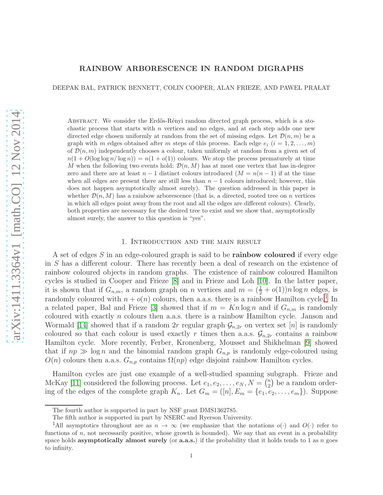# RAINBOW ARBORESCENCE IN RANDOM DIGRAPHS

DEEPAK BAL, PATRICK BENNETT, COLIN COOPER, ALAN FRIEZE, AND PAWEL PRALAT

ABSTRACT. We consider the Erdős-Rényi random directed graph process, which is a stochastic process that starts with n vertices and no edges, and at each step adds one new directed edge chosen uniformly at random from the set of missing edges. Let  $\mathcal{D}(n, m)$  be a graph with m edges obtained after m steps of this process. Each edge  $e_i$   $(i = 1, 2, \ldots, m)$ of  $\mathcal{D}(n,m)$  independently chooses a colour, taken uniformly at random from a given set of  $n(1 + O(\log \log n / \log n)) = n(1 + o(1))$  colours. We stop the process prematurely at time M when the following two events hold:  $\mathcal{D}(n, M)$  has at most one vertex that has in-degree zero and there are at least  $n-1$  distinct colours introduced  $(M = n(n-1))$  if at the time when all edges are present there are still less than  $n - 1$  colours introduced; however, this does not happen asymptotically almost surely). The question addressed in this paper is whether  $\mathcal{D}(n, M)$  has a rainbow arborescence (that is, a directed, rooted tree on n vertices in which all edges point away from the root and all the edges are different colours). Clearly, both properties are necessary for the desired tree to exist and we show that, asymptotically almost surely, the answer to this question is "yes".

#### 1. Introduction and the main result

A set of edges S in an edge-coloured graph is said to be rainbow coloured if every edge in S has a different colour. There has recently been a deal of research on the existence of rainbow coloured objects in random graphs. The existence of rainbow coloured Hamilton cycles is studied in Cooper and Frieze [\[8\]](#page-12-0) and in Frieze and Loh [\[10\]](#page-12-1). In the latter paper, it is shown that if  $G_{n,m}$ , a random graph on n vertices and  $m = (\frac{1}{2} + o(1))n \log n$  edges, is randomly coloured with  $n + o(n)$  colours, then a.a.s. there is a rainbow Hamilton cycle.<sup>[1](#page-0-0)</sup> In a related paper, Bal and Frieze [\[3\]](#page-12-2) showed that if  $m = Kn \log n$  and if  $G_{n,m}$  is randomly coloured with exactly n colours then a.a.s. there is a rainbow Hamilton cycle. Janson and Wormald [\[14\]](#page-12-3) showed that if a random 2r regular graph  $\mathcal{G}_{n,2r}$  on vertex set [n] is randomly coloured so that each colour is used exactly r times then a.a.s.  $\mathcal{G}_{n,2r}$  contains a rainbow Hamilton cycle. More recently, Ferber, Kronenberg, Mousset and Shikhelman [\[9\]](#page-12-4) showed that if  $np \gg \log n$  and the binomial random graph  $G_{n,p}$  is randomly edge-coloured using  $O(n)$  colours then a.a.s.  $G_{n,p}$  contains  $\Omega(np)$  edge disjoint rainbow Hamilton cycles.

Hamilton cycles are just one example of a well-studied spanning subgraph. Frieze and McKay [\[11\]](#page-12-5) considered the following process. Let  $e_1, e_2, \ldots, e_N, N = {n \choose 2}$  $\binom{n}{2}$  be a random ordering of the edges of the complete graph  $K_n$ . Let  $G_m = ([n], E_m = \{e_1, e_2, \ldots, e_m\})$ . Suppose

The fourth author is supported in part by NSF grant DMS1362785.

The fifth author is supported in part by NSERC and Ryerson University.

<span id="page-0-0"></span><sup>&</sup>lt;sup>1</sup>All asymptotics throughout are as  $n \to \infty$  (we emphasize that the notations  $o(\cdot)$  and  $O(\cdot)$  refer to functions of n, not necessarily positive, whose growth is bounded). We say that an event in a probability space holds **asymptotically almost surely** (or **a.a.s.**) if the probability that it holds tends to 1 as n goes to infinity.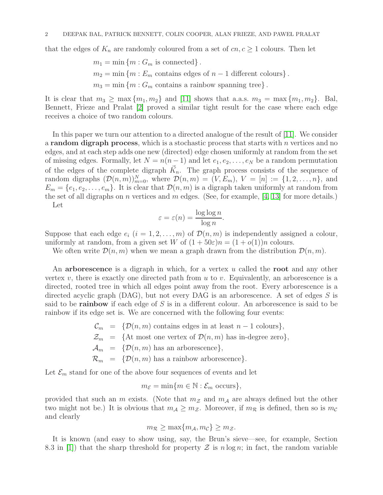that the edges of  $K_n$  are randomly coloured from a set of  $cn, c \ge 1$  colours. Then let

$$
m_1 = \min \{m : G_m \text{ is connected}\}.
$$
  
\n
$$
m_2 = \min \{m : E_m \text{ contains edges of } n - 1 \text{ different colours}\}.
$$
  
\n
$$
m_3 = \min \{m : G_m \text{ contains a rainbow spanning tree}\}.
$$

It is clear that  $m_3 \geq \max\{m_1, m_2\}$  and [\[11\]](#page-12-5) shows that a.a.s.  $m_3 = \max\{m_1, m_2\}$ . Bal, Bennett, Frieze and Pralat [\[2\]](#page-12-6) proved a similar tight result for the case where each edge receives a choice of two random colours.

In this paper we turn our attention to a directed analogue of the result of [\[11\]](#page-12-5). We consider a **random digraph process**, which is a stochastic process that starts with  $n$  vertices and no edges, and at each step adds one new (directed) edge chosen uniformly at random from the set of missing edges. Formally, let  $N = n(n-1)$  and let  $e_1, e_2, \ldots, e_N$  be a random permutation of the edges of the complete digraph  $\vec{K}_n$ . The graph process consists of the sequence of random digraphs  $(\mathcal{D}(n,m))_{m=0}^N$ , where  $\mathcal{D}(n,m) = (V, E_m)$ ,  $V = [n] := \{1, 2, \ldots, n\}$ , and  $E_m = \{e_1, e_2, \ldots, e_m\}$ . It is clear that  $\mathcal{D}(n, m)$  is a digraph taken uniformly at random from the set of all digraphs on *n* vertices and *m* edges. (See, for example, [\[4,](#page-12-7) [13\]](#page-12-8) for more details.) Let

$$
\varepsilon = \varepsilon(n) = \frac{\log \log n}{\log n}.
$$

Suppose that each edge  $e_i$   $(i = 1, 2, ..., m)$  of  $\mathcal{D}(n, m)$  is independently assigned a colour, uniformly at random, from a given set W of  $(1 + 50\varepsilon)n = (1 + o(1))n$  colours.

We often write  $\mathcal{D}(n,m)$  when we mean a graph drawn from the distribution  $\mathcal{D}(n,m)$ .

An arborescence is a digraph in which, for a vertex  $u$  called the root and any other vertex v, there is exactly one directed path from  $u$  to  $v$ . Equivalently, an arborescence is a directed, rooted tree in which all edges point away from the root. Every arborescence is a directed acyclic graph (DAG), but not every DAG is an arborescence. A set of edges S is said to be rainbow if each edge of  $S$  is in a different colour. An arborescence is said to be rainbow if its edge set is. We are concerned with the following four events:

> $\mathcal{C}_m$  = { $\mathcal{D}(n,m)$  contains edges in at least  $n-1$  colours},  $\mathcal{Z}_m = {\text{At most one vertex of } \mathcal{D}(n, m) \text{ has in-degree zero}},$  $\mathcal{A}_m = {\mathcal{D}(n,m)}$  has an arborescence},  $\mathcal{R}_m = {\mathcal{D}(n, m)}$  has a rainbow arborescence}.

Let  $\mathcal{E}_m$  stand for one of the above four sequences of events and let

$$
m_{\mathcal{E}} = \min\{m \in \mathbb{N} : \mathcal{E}_m \text{ occurs}\},\
$$

provided that such an m exists. (Note that  $m<sub>Z</sub>$  and  $m<sub>A</sub>$  are always defined but the other two might not be.) It is obvious that  $m_A \geq m_{\mathcal{Z}}$ . Moreover, if  $m_{\mathcal{R}}$  is defined, then so is  $m_{\mathcal{C}}$ and clearly

$$
m_{\mathcal{R}} \ge \max\{m_{\mathcal{A}}, m_{\mathcal{C}}\} \ge m_{\mathcal{Z}}.
$$

It is known (and easy to show using, say, the Brun's sieve—see, for example, Section 8.3 in [\[1\]](#page-12-9)) that the sharp threshold for property  $\mathcal Z$  is  $n \log n$ ; in fact, the random variable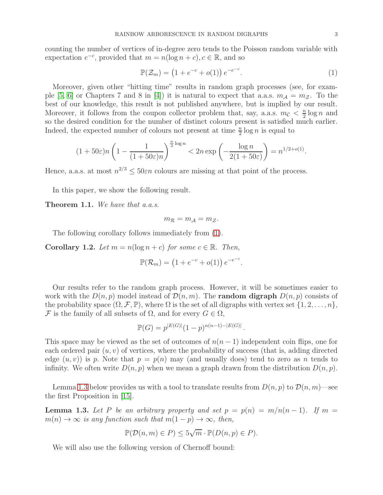counting the number of vertices of in-degree zero tends to the Poisson random variable with expectation  $e^{-c}$ , provided that  $m = n(\log n + c)$ ,  $c \in \mathbb{R}$ , and so

<span id="page-2-0"></span>
$$
\mathbb{P}(\mathcal{Z}_m) = (1 + e^{-c} + o(1)) e^{-e^{-c}}.
$$
\n(1)

Moreover, given other "hitting time" results in random graph processes (see, for exam-ple [\[5,](#page-12-10) [6\]](#page-12-11) or Chapters 7 and 8 in [\[4\]](#page-12-7)) it is natural to expect that a.a.s.  $m_A = m_{\mathcal{Z}}$ . To the best of our knowledge, this result is not published anywhere, but is implied by our result. Moreover, it follows from the coupon collector problem that, say, a.a.s.  $m_c < \frac{n}{2}$  $\frac{n}{2} \log n$  and so the desired condition for the number of distinct colours present is satisfied much earlier. Indeed, the expected number of colours not present at time  $\frac{n}{2} \log n$  is equal to

$$
(1+50\varepsilon)n\left(1-\frac{1}{(1+50\varepsilon)n}\right)^{\frac{n}{2}\log n} < 2n\exp\left(-\frac{\log n}{2(1+50\varepsilon)}\right) = n^{1/2+o(1)}.
$$

Hence, a.a.s. at most  $n^{2/3} \le 50 \varepsilon n$  colours are missing at that point of the process.

In this paper, we show the following result.

<span id="page-2-2"></span>Theorem 1.1. *We have that a.a.s.*

$$
m_{\mathcal{R}}=m_{\mathcal{A}}=m_{\mathcal{Z}}.
$$

The following corollary follows immediately from [\(1\)](#page-2-0).

**Corollary 1.2.** Let  $m = n(\log n + c)$  for some  $c \in \mathbb{R}$ . Then,

$$
\mathbb{P}(\mathcal{R}_m) = (1 + e^{-c} + o(1)) e^{-e^{-c}}.
$$

Our results refer to the random graph process. However, it will be sometimes easier to work with the  $D(n, p)$  model instead of  $\mathcal{D}(n, m)$ . The **random digraph**  $D(n, p)$  consists of the probability space  $(\Omega, \mathcal{F}, \mathbb{P})$ , where  $\Omega$  is the set of all digraphs with vertex set  $\{1, 2, \ldots, n\}$ , F is the family of all subsets of  $\Omega$ , and for every  $G \in \Omega$ ,

$$
\mathbb{P}(G) = p^{|E(G)|} (1-p)^{n(n-1) - |E(G)|}
$$

.

This space may be viewed as the set of outcomes of  $n(n-1)$  independent coin flips, one for each ordered pair  $(u, v)$  of vertices, where the probability of success (that is, adding directed edge  $(u, v)$  is p. Note that  $p = p(n)$  may (and usually does) tend to zero as n tends to infinity. We often write  $D(n, p)$  when we mean a graph drawn from the distribution  $D(n, p)$ .

Lemma [1.3](#page-2-1) below provides us with a tool to translate results from  $D(n, p)$  to  $\mathcal{D}(n, m)$ —see the first Proposition in [\[15\]](#page-12-12).

<span id="page-2-1"></span>**Lemma 1.3.** Let P be an arbitrary property and set  $p = p(n) = m/n(n-1)$ . If  $m =$  $m(n) \to \infty$  *is any function such that*  $m(1-p) \to \infty$ *, then,* 

$$
\mathbb{P}(\mathcal{D}(n,m) \in P) \le 5\sqrt{m} \cdot \mathbb{P}(D(n,p) \in P).
$$

We will also use the following version of Chernoff bound: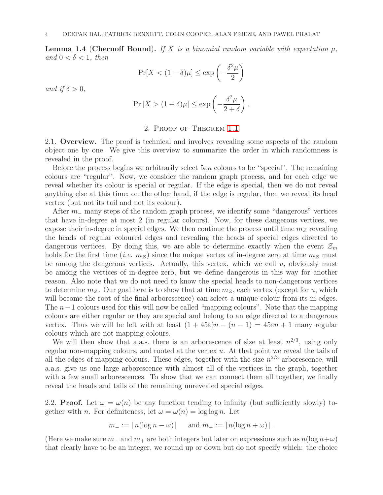**Lemma 1.4 (Chernoff Bound).** If X is a binomial random variable with expectation  $\mu$ , *and*  $0 < \delta < 1$ *, then* 

$$
\Pr[X < (1 - \delta)\mu] \le \exp\left(-\frac{\delta^2 \mu}{2}\right)
$$

*and if*  $\delta > 0$ *,* 

$$
\Pr\left[X > (1+\delta)\mu\right] \le \exp\left(-\frac{\delta^2 \mu}{2+\delta}\right).
$$

# 2. Proof of Theorem [1.1](#page-2-2)

2.1. **Overview.** The proof is technical and involves revealing some aspects of the random object one by one. We give this overview to summarize the order in which randomness is revealed in the proof.

Before the process begins we arbitrarily select  $5\varepsilon n$  colours to be "special". The remaining colours are "regular". Now, we consider the random graph process, and for each edge we reveal whether its colour is special or regular. If the edge is special, then we do not reveal anything else at this time; on the other hand, if the edge is regular, then we reveal its head vertex (but not its tail and not its colour).

After  $m_-\,$  many steps of the random graph process, we identify some "dangerous" vertices that have in-degree at most 2 (in regular colours). Now, for these dangerous vertices, we expose their in-degree in special edges. We then continue the process until time  $m<sub>Z</sub>$  revealing the heads of regular coloured edges and revealing the heads of special edges directed to dangerous vertices. By doing this, we are able to determine exactly when the event  $\mathcal{Z}_m$ holds for the first time (*i.e.*  $m_Z$ ) since the unique vertex of in-degree zero at time  $m_Z$  must be among the dangerous vertices. Actually, this vertex, which we call  $u$ , obviously must be among the vertices of in-degree zero, but we define dangerous in this way for another reason. Also note that we do not need to know the special heads to non-dangerous vertices to determine  $m<sub>z</sub>$ . Our goal here is to show that at time  $m<sub>z</sub>$ , each vertex (except for u, which will become the root of the final arborescence) can select a unique colour from its in-edges. The  $n-1$  colours used for this will now be called "mapping colours". Note that the mapping colours are either regular or they are special and belong to an edge directed to a dangerous vertex. Thus we will be left with at least  $(1 + 45\varepsilon)n - (n - 1) = 45\varepsilon n + 1$  many regular colours which are not mapping colours.

We will then show that a.a.s. there is an arborescence of size at least  $n^{2/3}$ , using only regular non-mapping colours, and rooted at the vertex  $u$ . At that point we reveal the tails of all the edges of mapping colours. These edges, together with the size  $n^{2/3}$  arborescence, will a.a.s. give us one large arborescence with almost all of the vertices in the graph, together with a few small arborescences. To show that we can connect them all together, we finally reveal the heads and tails of the remaining unrevealed special edges.

2.2. **Proof.** Let  $\omega = \omega(n)$  be any function tending to infinity (but sufficiently slowly) together with n. For definiteness, let  $\omega = \omega(n) = \log \log n$ . Let

$$
m_- := \lfloor n(\log n - \omega) \rfloor \quad \text{and } m_+ := \lceil n(\log n + \omega) \rceil.
$$

(Here we make sure  $m_-\text{ and }m_+\text{ are both integers but later on expressions such as }n(\log n+\omega)$ ) that clearly have to be an integer, we round up or down but do not specify which: the choice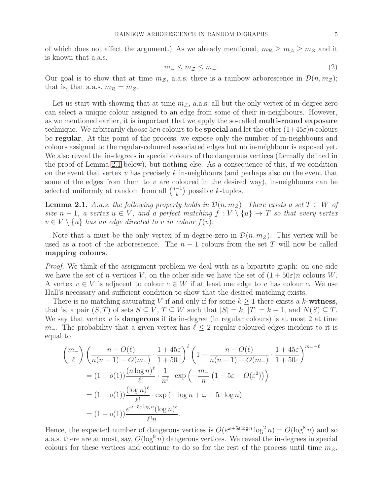of which does not affect the argument.) As we already mentioned,  $m_R \geq m_A \geq m_Z$  and it is known that a.a.s.

$$
m_- \le m_{\mathcal{Z}} \le m_+.\tag{2}
$$

Our goal is to show that at time  $m_{\mathcal{Z}}$ , a.a.s. there is a rainbow arborescence in  $\mathcal{D}(n, m_{\mathcal{Z}})$ ; that is, that a.a.s.  $m_R = m_Z$ .

Let us start with showing that at time  $m_{\mathcal{Z}}$ , a.a.s. all but the only vertex of in-degree zero can select a unique colour assigned to an edge from some of their in-neighbours. However, as we mentioned earlier, it is important that we apply the so-called multi-round exposure technique. We arbitrarily choose  $5\varepsilon n$  colours to be **special** and let the other  $(1+45\varepsilon)n$  colours be regular. At this point of the process, we expose only the number of in-neighbours and colours assigned to the regular-coloured associated edges but no in-neighbour is exposed yet. We also reveal the in-degrees in special colours of the dangerous vertices (formally defined in the proof of Lemma [2.1](#page-4-0) below), but nothing else. As a consequence of this, if we condition on the event that vertex v has precisely k in-neighbours (and perhaps also on the event that some of the edges from them to  $v$  are coloured in the desired way), in-neighbours can be selected uniformly at random from all  $\binom{n-1}{k}$  $\binom{-1}{k}$  possible k-tuples.

<span id="page-4-0"></span>**Lemma 2.1.** *A.a.s. the following property holds in*  $\mathcal{D}(n, m_Z)$ *. There exists a set*  $T \subset W$  *of size*  $n-1$ , a vertex  $u \in V$ , and a perfect matching  $f: V \setminus \{u\} \to T$  so that every vertex  $v \in V \setminus \{u\}$  *has an edge directed to* v *in colour*  $f(v)$ *.* 

Note that u must be the only vertex of in-degree zero in  $\mathcal{D}(n, m_{\mathcal{Z}})$ . This vertex will be used as a root of the arborescence. The  $n-1$  colours from the set T will now be called mapping colours.

*Proof.* We think of the assignment problem we deal with as a bipartite graph: on one side we have the set of n vertices V, on the other side we have the set of  $(1+50\varepsilon)n$  colours W. A vertex  $v \in V$  is adjacent to colour  $c \in W$  if at least one edge to v has colour c. We use Hall's necessary and sufficient condition to show that the desired matching exists.

There is no matching saturating V if and only if for some  $k \geq 1$  there exists a k-witness, that is, a pair  $(S, T)$  of sets  $S \subseteq V$ ,  $T \subseteq W$  such that  $|S| = k$ ,  $|T| = k - 1$ , and  $N(S) \subseteq T$ . We say that vertex  $v$  is **dangerous** if its in-degree (in regular colours) is at most 2 at time  $m_$ . The probability that a given vertex has  $\ell \leq 2$  regular-coloured edges incident to it is equal to

$$
\binom{m_-}{\ell} \left( \frac{n - O(\ell)}{n(n-1) - O(m_-)} \cdot \frac{1 + 45\varepsilon}{1 + 50\varepsilon} \right)^{\ell} \left( 1 - \frac{n - O(\ell)}{n(n-1) - O(m_-)} \cdot \frac{1 + 45\varepsilon}{1 + 50\varepsilon} \right)^{m_- - \ell}
$$
  
=  $(1 + o(1)) \frac{(n \log n)^{\ell}}{\ell!} \cdot \frac{1}{n^{\ell}} \cdot \exp\left( -\frac{m_-}{n} \left( 1 - 5\varepsilon + O(\varepsilon^2) \right) \right)$   
=  $(1 + o(1)) \frac{(\log n)^{\ell}}{\ell!} \cdot \exp\left( -\log n + \omega + 5\varepsilon \log n \right)$   
=  $(1 + o(1)) \frac{e^{\omega + 5\varepsilon \log n} (\log n)^{\ell}}{\ell! n}.$ 

Hence, the expected number of dangerous vertices is  $O(e^{\omega + 5\varepsilon \log n} \log^2 n) = O(\log^8 n)$  and so a.a.s. there are at most, say,  $O(\log^9 n)$  dangerous vertices. We reveal the in-degrees in special colours for these vertices and continue to do so for the rest of the process until time  $m<sub>z</sub>$ .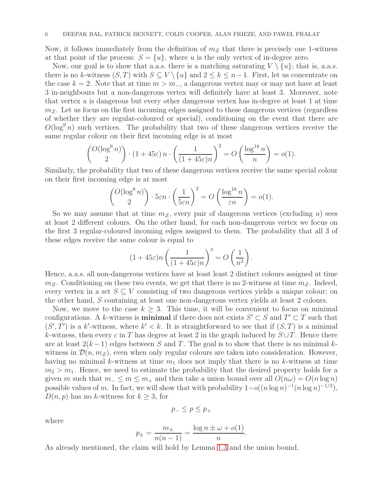Now, it follows immediately from the definition of  $m<sub>Z</sub>$  that there is precisely one 1-witness at that point of the process:  $S = \{u\}$ , where u is the only vertex of in-degree zero.

Now, our goal is to show that a.a.s. there is a matching saturating  $V \setminus \{u\}$ ; that is, a.a.s. there is no k-witness  $(S, T)$  with  $S \subseteq V \setminus \{u\}$  and  $2 \leq k \leq n-1$ . First, let us concentrate on the case  $k = 2$ . Note that at time  $m > m_+$ , a dangerous vertex may or may not have at least 3 in-neighbours but a non-dangerous vertex will definitely have at least 3. Moreover, note that vertex  $u$  is dangerous but every other dangerous vertex has in-degree at least 1 at time  $m<sub>Z</sub>$ . Let us focus on the first incoming edges assigned to these dangerous vertices (regardless of whether they are regular-coloured or special), conditioning on the event that there are  $O(\log^9 n)$  such vertices. The probability that two of these dangerous vertices receive the same regular colour on their first incoming edge is at most

$$
\binom{O(\log^9 n)}{2} \cdot (1+45\varepsilon) n \cdot \left(\frac{1}{(1+45\varepsilon)n}\right)^2 = O\left(\frac{\log^{18} n}{n}\right) = o(1).
$$

Similarly, the probability that two of these dangerous vertices receive the same special colour on their first incoming edge is at most

$$
\binom{O(\log^9 n)}{2} \cdot 5\varepsilon n \cdot \left(\frac{1}{5\varepsilon n}\right)^2 = O\left(\frac{\log^{18} n}{\varepsilon n}\right) = o(1).
$$

So we may assume that at time  $m<sub>Z</sub>$ , every pair of dangerous vertices (excluding u) sees at least 2 different colours. On the other hand, for each non-dangerous vertex we focus on the first 3 regular-coloured incoming edges assigned to them. The probability that all 3 of these edges receive the same colour is equal to

$$
(1+45\varepsilon)n\left(\frac{1}{(1+45\varepsilon)n}\right)^3 = O\left(\frac{1}{n^2}\right).
$$

Hence, a.a.s. all non-dangerous vertices have at least least 2 distinct colours assigned at time  $m_{\mathcal{Z}}$ . Conditioning on these two events, we get that there is no 2-witness at time  $m_{\mathcal{Z}}$ . Indeed, every vertex in a set  $S \subseteq V$  consisting of two dangerous vertices yields a unique colour; on the other hand, S containing at least one non-dangerous vertex yields at least 2 colours.

Now, we move to the case  $k \geq 3$ . This time, it will be convenient to focus on minimal configurations. A k-witness is **minimal** if there does not exists  $S' \subset S$  and  $T' \subset T$  such that  $(S', T')$  is a k'-witness, where  $k' < k$ . It is straightforward to see that if  $(S, T)$  is a minimal k-witness, then every c in T has degree at least 2 in the graph induced by  $S \cup T$ . Hence there are at least  $2(k-1)$  edges between S and T. The goal is to show that there is no minimal kwitness in  $\mathcal{D}(n, m_Z)$ , even when only regular colours are taken into consideration. However, having no minimal k-witness at time  $m_1$  does not imply that there is no k-witness at time  $m_2 > m_1$ . Hence, we need to estimate the probability that the desired property holds for a given m such that  $m_{-} \leq m \leq m_{+}$  and then take a union bound over all  $O(n\omega) = O(n \log n)$ possible values of m. In fact, we will show that with probability  $1-o((n \log n)^{-1}(n \log n)^{-1/2}),$  $D(n, p)$  has no k-witness for  $k \geq 3$ , for

$$
p_-\leq p\leq p_+
$$

where

$$
p_{\pm} = \frac{m_{\pm}}{n(n-1)} = \frac{\log n \pm \omega + o(1)}{n}.
$$

As already mentioned, the claim will hold by Lemma [1.3](#page-2-1) and the union bound.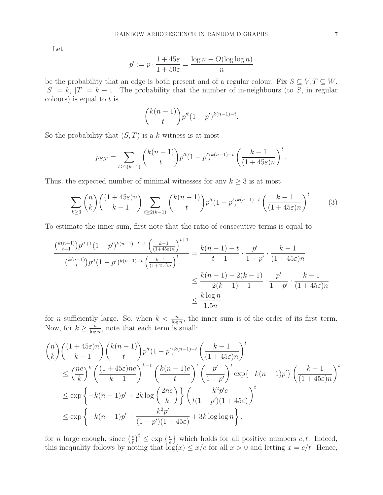Let

$$
p' := p \cdot \frac{1 + 45\varepsilon}{1 + 50\varepsilon} = \frac{\log n - O(\log \log n)}{n}
$$

be the probability that an edge is both present and of a regular colour. Fix  $S \subseteq V, T \subseteq W$ ,  $|S| = k$ ,  $|T| = k - 1$ . The probability that the number of in-neighbours (to S, in regular colours) is equal to  $t$  is

<span id="page-6-0"></span>
$$
\binom{k(n-1)}{t} p^{n} (1-p')^{k(n-1)-t}.
$$

So the probability that  $(S, T)$  is a k-witness is at most

$$
p_{S,T} = \sum_{t \ge 2(k-1)} \binom{k(n-1)}{t} p^{t} (1-p')^{k(n-1)-t} \left(\frac{k-1}{(1+45\varepsilon)n}\right)^t.
$$

Thus, the expected number of minimal witnesses for any  $k \geq 3$  is at most

$$
\sum_{k\geq 3} \binom{n}{k} \binom{(1+45\varepsilon)n}{k-1} \sum_{t\geq 2(k-1)} \binom{k(n-1)}{t} p^{t} (1-p')^{k(n-1)-t} \left(\frac{k-1}{(1+45\varepsilon)n}\right)^t. \tag{3}
$$

To estimate the inner sum, first note that the ratio of consecutive terms is equal to

$$
\frac{\binom{k(n-1)}{t+1}p^{t+1}(1-p')^{k(n-1)-t-1}\left(\frac{k-1}{(1+45\varepsilon)n}\right)^{t+1}}{\binom{k(n-1)}{t}p^{t}(1-p')^{k(n-1)-t}\left(\frac{k-1}{(1+45\varepsilon)n}\right)^{t}} = \frac{k(n-1)-t}{t+1} \cdot \frac{p'}{1-p'} \cdot \frac{k-1}{(1+45\varepsilon)n}
$$

$$
\leq \frac{k(n-1)-2(k-1)}{2(k-1)+1} \cdot \frac{p'}{1-p'} \cdot \frac{k-1}{(1+45\varepsilon)n}
$$

$$
\leq \frac{k\log n}{1.5n}
$$

for *n* sufficiently large. So, when  $k < \frac{n}{\log n}$ , the inner sum is of the order of its first term. Now, for  $k \geq \frac{n}{\log n}$  $\frac{n}{\log n}$ , note that each term is small:

$$
\binom{n}{k} \binom{(1+45\varepsilon)n}{k-1} \binom{k(n-1)}{t} p'^{t} (1-p')^{k(n-1)-t} \left(\frac{k-1}{(1+45\varepsilon)n}\right)^{t}
$$
\n
$$
\leq \left(\frac{ne}{k}\right)^{k} \left(\frac{(1+45\varepsilon)ne}{k-1}\right)^{k-1} \left(\frac{k(n-1)e}{t}\right)^{t} \left(\frac{p'}{1-p'}\right)^{t} \exp\{-k(n-1)p'\} \left(\frac{k-1}{(1+45\varepsilon)n}\right)^{t}
$$
\n
$$
\leq \exp\left\{-k(n-1)p'+2k\log\left(\frac{2ne}{k}\right)\right\} \left(\frac{k^{2}p'e}{t(1-p')(1+45\varepsilon)}\right)^{t}
$$
\n
$$
\leq \exp\left\{-k(n-1)p'+\frac{k^{2}p'}{(1-p')(1+45\varepsilon)}+3k\log\log n\right\},
$$

for *n* large enough, since  $\left(\frac{c}{t}\right)$  $\left(\frac{c}{t}\right)^t \leq \exp\left\{\frac{c}{e}\right\}$  which holds for all positive numbers c, t. Indeed, this inequality follows by noting that  $log(x) \leq x/e$  for all  $x > 0$  and letting  $x = c/t$ . Hence,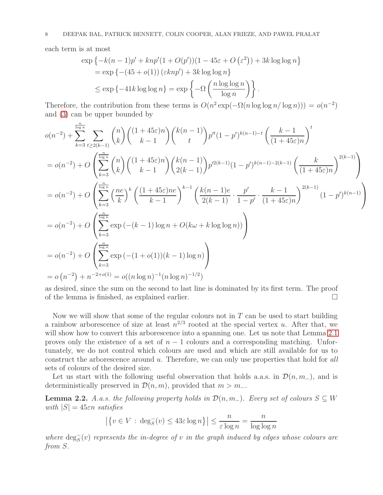each term is at most

n

$$
\exp\left\{-k(n-1)p' + knp'(1+O(p'))(1-45\varepsilon+O(\varepsilon^2)) + 3k\log\log n\right\}
$$
  
= 
$$
\exp\left\{-(45+o(1))(\varepsilon knp') + 3k\log\log n\right\}
$$
  

$$
\leq \exp\left\{-41k\log\log n\right\} = \exp\left\{-\Omega\left(\frac{n\log\log n}{\log n}\right)\right\}.
$$

Therefore, the contribution from these terms is  $O(n^2 \exp(-\Omega(n \log \log n/\log n))) = o(n^{-2})$ and [\(3\)](#page-6-0) can be upper bounded by

$$
o(n^{-2}) + \sum_{k=3}^{\lfloor \frac{n}{\log n} \rfloor} \sum_{t \ge 2(k-1)} {n \choose k} { (1 + 45\varepsilon)n \choose k-1} { k(n-1) \choose t} p^{n} (1-p')^{k(n-1)-t} \left( \frac{k-1}{(1+45\varepsilon)n} \right)^{t}
$$
  
\n
$$
= o(n^{-2}) + O\left( \sum_{k=3}^{\lfloor \frac{n}{\log n} \rfloor} {n \choose k} \left( \frac{(1+45\varepsilon)n}{k-1} \right) { k(n-1) \choose 2(k-1)} p^{n} (k-1) (1-p')^{k(n-1)-2(k-1)} \left( \frac{k}{(1+45\varepsilon)n} \right)^{2(k-1)} \right)
$$
  
\n
$$
= o(n^{-2}) + O\left( \sum_{k=3}^{\frac{n}{\log n}} \left( \frac{ne}{k} \right)^k \left( \frac{(1+45\varepsilon)ne}{k-1} \right)^{k-1} \left( \frac{k(n-1)e}{2(k-1)} \cdot \frac{p'}{1-p'} \cdot \frac{k-1}{(1+45\varepsilon)n} \right)^{2(k-1)} (1-p')^{k(n-1)} \right)
$$
  
\n
$$
= o(n^{-2}) + O\left( \sum_{k=3}^{\frac{n}{\log n}} \exp(-(k-1)\log n + O(k\omega + k\log\log n)) \right)
$$
  
\n
$$
= o(n^{-2}) + O\left( \sum_{k=3}^{\frac{n}{\log n}} \exp(-(1+o(1))(k-1)\log n) \right)
$$
  
\n
$$
= o(n^{-2}) + n^{-2+o(1)} = o((n \log n)^{-1}(n \log n)^{-1/2})
$$

as desired, since the sum on the second to last line is dominated by its first term. The proof of the lemma is finished, as explained earlier.

Now we will show that some of the regular colours not in  $T$  can be used to start building a rainbow arborescence of size at least  $n^{2/3}$  rooted at the special vertex u. After that, we will show how to convert this arborescence into a spanning one. Let us note that Lemma [2.1](#page-4-0) proves only the existence of a set of  $n-1$  colours and a corresponding matching. Unfortunately, we do not control which colours are used and which are still available for us to construct the arborescence around u. Therefore, we can only use properties that hold for *all* sets of colours of the desired size.

Let us start with the following useful observation that holds a.a.s. in  $\mathcal{D}(n, m_-)$ , and is deterministically preserved in  $\mathcal{D}(n, m)$ , provided that  $m > m_-\$ .

<span id="page-7-0"></span>**Lemma 2.2.** *A.a.s. the following property holds in*  $\mathcal{D}(n, m_$ )*. Every set of colours*  $S ⊆ W$ *with*  $|S| = 45\varepsilon n$  *satisfies* 

$$
\left| \left\{ v \in V : \deg_S^-(v) \le 43\varepsilon \log n \right\} \right| \le \frac{n}{\varepsilon \log n} = \frac{n}{\log \log n}
$$

 $where \deg_{S}^{-}(v)$  *represents the in-degree of* v *in the graph induced by edges whose colours are from* S*.*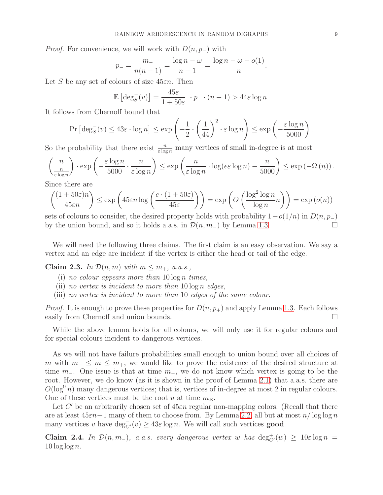*Proof.* For convenience, we will work with  $D(n, p_+)$  with

$$
p_{-} = \frac{m_{-}}{n(n-1)} = \frac{\log n - \omega}{n-1} = \frac{\log n - \omega - o(1)}{n}.
$$

Let S be any set of colours of size  $45\varepsilon n$ . Then

$$
\mathbb{E}\left[\deg_{S}^{-}(v)\right] = \frac{45\varepsilon}{1+50\varepsilon} \cdot p_{-} \cdot (n-1) > 44\varepsilon \log n.
$$

It follows from Chernoff bound that

$$
\Pr\left[\deg^-_S(v) \le 43\varepsilon \cdot \log n\right] \le \exp\left(-\frac{1}{2} \cdot \left(\frac{1}{44}\right)^2 \cdot \varepsilon \log n\right) \le \exp\left(-\frac{\varepsilon \log n}{5000}\right).
$$

So the probability that there exist  $\frac{n}{\varepsilon \log n}$  many vertices of small in-degree is at most

$$
\binom{n}{\frac{n}{\varepsilon \log n}} \cdot \exp\left(-\frac{\varepsilon \log n}{5000} \cdot \frac{n}{\varepsilon \log n}\right) \le \exp\left(\frac{n}{\varepsilon \log n} \cdot \log(e \varepsilon \log n) - \frac{n}{5000}\right) \le \exp\left(-\Omega\left(n\right)\right).
$$

Since there are

$$
\binom{(1+50\varepsilon)n}{45\varepsilon n} \le \exp\left(45\varepsilon n \log\left(\frac{e\cdot(1+50\varepsilon)}{45\varepsilon}\right)\right) = \exp\left(O\left(\frac{\log^2\log n}{\log n}n\right)\right) = \exp\left(o(n)\right)
$$

sets of colours to consider, the desired property holds with probability  $1-o(1/n)$  in  $D(n, p_-)$ <br>by the union bound and so it holds a a s in  $\mathcal{D}(n, m_-)$  by Lemma 1.3 by the union bound, and so it holds a.a.s. in  $\mathcal{D}(n, m_-)$  by Lemma [1.3.](#page-2-1)

We will need the following three claims. The first claim is an easy observation. We say a vertex and an edge are incident if the vertex is either the head or tail of the edge.

<span id="page-8-0"></span>Claim 2.3. In  $\mathcal{D}(n,m)$  with  $m \leq m_+$ , a.a.s.,

- (i) *no colour appears more than* 10 log n *times,*
- (ii) *no vertex is incident to more than* 10 log n *edges,*
- (iii) *no vertex is incident to more than* 10 *edges of the same colour.*

*Proof.* It is enough to prove these properties for  $D(n, p<sub>+</sub>)$  and apply Lemma [1.3.](#page-2-1) Each follows easily from Chernoff and union bounds.

While the above lemma holds for all colours, we will only use it for regular colours and for special colours incident to dangerous vertices.

As we will not have failure probabilities small enough to union bound over all choices of m with  $m_-\leq m \leq m_+$ , we would like to prove the existence of the desired structure at time  $m_$ . One issue is that at time  $m_$ , we do not know which vertex is going to be the root. However, we do know (as it is shown in the proof of Lemma [2.1\)](#page-4-0) that a.a.s. there are  $O(\log^9 n)$  many dangerous vertices; that is, vertices of in-degree at most 2 in regular colours. One of these vertices must be the root u at time  $m<sub>z</sub>$ .

Let  $C'$  be an arbitrarily chosen set of  $45\varepsilon n$  regular non-mapping colors. (Recall that there are at least  $45\varepsilon n+1$  many of them to choose from. By Lemma [2.2,](#page-7-0) all but at most  $n/\log\log n$ many vertices v have  $\deg_{C'}^-(v) \geq 43\varepsilon \log n$ . We will call such vertices **good**.

<span id="page-8-1"></span>Claim 2.4. *In*  $\mathcal{D}(n, m_-)$ , *a.a.s. every dangerous vertex* w *has*  $\deg_{C'}^+(w) \geq 10\varepsilon \log n =$ 10 log log n*.*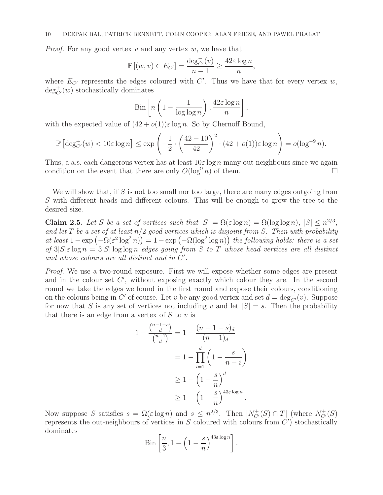*Proof.* For any good vertex  $v$  and any vertex  $w$ , we have that

$$
\mathbb{P}[(w,v) \in E_{C'}] = \frac{\deg_{C'}^-(v)}{n-1} \ge \frac{42\varepsilon \log n}{n},
$$

where  $E_{C'}$  represents the edges coloured with  $C'$ . Thus we have that for every vertex  $w$ ,  $\deg_{C'}^+(w)$  stochastically dominates

$$
\text{Bin}\left[n\left(1-\frac{1}{\log\log n}\right),\frac{42\varepsilon\log n}{n}\right],
$$

with the expected value of  $(42 + o(1))\varepsilon \log n$ . So by Chernoff Bound,

$$
\mathbb{P}\left[\deg_{C'}^+(w) < 10\varepsilon\log n\right] \le \exp\left(-\frac{1}{2}\cdot\left(\frac{42-10}{42}\right)^2\cdot(42+o(1))\varepsilon\log n\right) = o(\log^{-9} n).
$$

Thus, a.a.s. each dangerous vertex has at least  $10\varepsilon \log n$  many out neighbours since we again condition on the event that there are only  $O(\log^9 n)$  of them.

We will show that, if  $S$  is not too small nor too large, there are many edges outgoing from S with different heads and different colours. This will be enough to grow the tree to the desired size.

<span id="page-9-0"></span>**Claim 2.5.** Let S be a set of vertices such that  $|S| = \Omega(\varepsilon \log n) = \Omega(\log \log n)$ ,  $|S| \leq n^{2/3}$ , *and let* T *be a set of at least* n/2 *good vertices which is disjoint from* S*. Then with probability at least*  $1 - \exp(-\Omega(\varepsilon^2 \log^2 n)) = 1 - \exp(-\Omega(\log^2 \log n))$  *the following holds: there is a set of* 3|S|ε log n = 3|S| log log n *edges going from* S *to* T *whose head vertices are all distinct* and whose colours are all distinct and in  $C'$ .

*Proof.* We use a two-round exposure. First we will expose whether some edges are present and in the colour set  $C'$ , without exposing exactly which colour they are. In the second round we take the edges we found in the first round and expose their colours, conditioning on the colours being in C' of course. Let v be any good vertex and set  $d = \deg_{C'}^-(v)$ . Suppose for now that S is any set of vertices not including v and let  $|S| = s$ . Then the probability that there is an edge from a vertex of  $S$  to  $v$  is

$$
1 - \frac{\binom{n-1-s}{d}}{\binom{n-1}{d}} = 1 - \frac{(n-1-s)_d}{(n-1)_d}
$$

$$
= 1 - \prod_{i=1}^d \left(1 - \frac{s}{n-i}\right)
$$

$$
\geq 1 - \left(1 - \frac{s}{n}\right)^d
$$

$$
\geq 1 - \left(1 - \frac{s}{n}\right)^{43\varepsilon \log n}.
$$

Now suppose S satisfies  $s = \Omega(\varepsilon \log n)$  and  $s \leq n^{2/3}$ . Then  $|N^+_{C'}(S) \cap T|$  (where  $N^+_{C'}(S)$ ) represents the out-neighbours of vertices in  $S$  coloured with colours from  $C'$  stochastically dominates

$$
\text{Bin}\left[\frac{n}{3}, 1 - \left(1 - \frac{s}{n}\right)^{43\varepsilon \log n}\right].
$$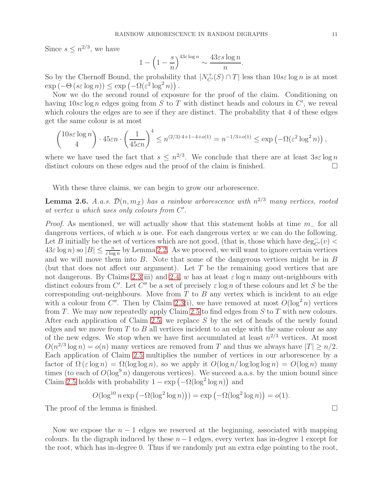Since  $s \leq n^{2/3}$ , we have

$$
1 - \left(1 - \frac{s}{n}\right)^{43\varepsilon \log n} \sim \frac{43\varepsilon s \log n}{n}.
$$

So by the Chernoff Bound, the probability that  $|N_C^+(S) \cap T|$  less than  $10s\varepsilon \log n$  is at most  $\exp(-\Theta(s\varepsilon \log n)) \leq \exp(-\Omega(\varepsilon^2 \log^2 n)).$ 

Now we do the second round of exposure for the proof of the claim. Conditioning on having  $10s\epsilon \log n$  edges going from S to T with distinct heads and colours in C', we reveal which colours the edges are to see if they are distinct. The probability that 4 of these edges get the same colour is at most

$$
\binom{10s\varepsilon\log n}{4} \cdot 45\varepsilon n \cdot \left(\frac{1}{45\varepsilon n}\right)^4 \le n^{(2/3)\cdot 4+1-4+o(1)} = n^{-1/3+o(1)} \le \exp\left(-\Omega(\varepsilon^2\log^2 n)\right),
$$

where we have used the fact that  $s \leq n^{2/3}$ . We conclude that there are at least  $3s\epsilon \log n$ distinct colours on these edges and the proof of the claim is finished.  $\square$ 

With these three claims, we can begin to grow our arborescence.

**Lemma 2.6.** *A.a.s.*  $\mathcal{D}(n, m_Z)$  *has a rainbow arborescence with*  $n^{2/3}$  *many vertices, rooted at vertex* u *which uses only colours from* C ′ *.*

*Proof.* As mentioned, we will actually show that this statement holds at time m<sub>−</sub> for all dangerous vertices, of which  $u$  is one. For each dangerous vertex  $w$  we can do the following. Let B initially be the set of vertices which are not good, (that is, those which have  $\deg_{C'}^-(v)$  $43\varepsilon \log n$ ) so  $|B| \leq \frac{n}{\varepsilon \log n}$  by Lemma [2.2.](#page-7-0) As we proceed, we will want to ignore certain vertices and we will move them into B. Note that some of the dangerous vertices might be in B (but that does not affect our argument). Let  $T$  be the remaining good vertices that are not dangerous. By Claims [2.3\(](#page-8-0)iii) and [2.4,](#page-8-1) w has at least  $\varepsilon \log n$  many out-neighbours with distinct colours from C'. Let C'' be a set of precisely  $\varepsilon \log n$  of these colours and let S be the corresponding out-neighbours. Move from  $T$  to  $B$  any vertex which is incident to an edge with a colour from C''. Then by Claim [2.3\(](#page-8-0)i), we have removed at most  $O(\log^2 n)$  vertices from  $T$ . We may now repeatedly apply Claim [2.5](#page-9-0) to find edges from  $S$  to  $T$  with new colours. After each application of Claim [2.5,](#page-9-0) we replace S by the set of heads of the newly found edges and we move from  $T$  to  $B$  all vertices incident to an edge with the same colour as any of the new edges. We stop when we have first accumulated at least  $n^{2/3}$  vertices. At most  $O(n^{2/3} \log n) = o(n)$  many vertices are removed from T and thus we always have  $|T| \ge n/2$ . Each application of Claim [2.5](#page-9-0) multiplies the number of vertices in our arborescence by a factor of  $\Omega(\varepsilon \log n) = \Omega(\log \log n)$ , so we apply it  $O(\log n / \log \log \log n) = O(\log n)$  many times (to each of  $O(\log^9 n)$  dangerous vertices). We succeed a.a.s. by the union bound since Claim [2.5](#page-9-0) holds with probability  $1 - \exp(-\Omega(\log^2 \log n))$  and

$$
O(\log^{10} n \exp(-\Omega(\log^2 \log n))) = \exp(-\Omega(\log^2 \log n)) = o(1).
$$

The proof of the lemma is finished.

Now we expose the  $n-1$  edges we reserved at the beginning, associated with mapping colours. In the digraph induced by these  $n-1$  edges, every vertex has in-degree 1 except for the root, which has in-degree 0. Thus if we randomly put an extra edge pointing to the root,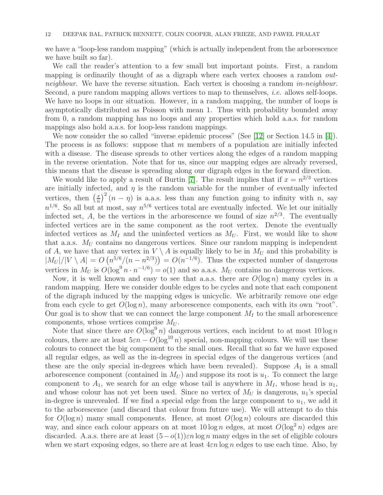we have a "loop-less random mapping" (which is actually independent from the arborescence we have built so far).

We call the reader's attention to a few small but important points. First, a random mapping is ordinarily thought of as a digraph where each vertex chooses a random *outneighbour*. We have the reverse situation. Each vertex is choosing a random *in-neighbour*. Second, a pure random mapping allows vertices to map to themselves, *i.e.* allows self-loops. We have no loops in our situation. However, in a random mapping, the number of loops is asymptotically distributed as Poisson with mean 1. Thus with probability bounded away from 0, a random mapping has no loops and any properties which hold a.a.s. for random mappings also hold a.a.s. for loop-less random mappings.

We now consider the so called "inverse epidemic process" (See [\[12\]](#page-12-13) or Section 14.5 in [\[4\]](#page-12-7)). The process is as follows: suppose that  $m$  members of a population are initially infected with a disease. The disease spreads to other vertices along the edges of a random mapping in the reverse orientation. Note that for us, since our mapping edges are already reversed, this means that the disease is spreading along our digraph edges in the forward direction.

We would like to apply a result of Burtin [\[7\]](#page-12-14). The result implies that if  $x = n^{2/3}$  vertices are initially infected, and  $\eta$  is the random variable for the number of eventually infected vertices, then  $\left(\frac{x}{n}\right)$  $\left(\frac{x}{n}\right)^2$   $(n - \eta)$  is a.a.s. less than any function going to infinity with n, say  $n^{1/6}$ . So all but at most, say  $n^{5/6}$  vertices total are eventually infected. We let our initially infected set, A, be the vertices in the arborescence we found of size  $n^{2/3}$ . The eventually infected vertices are in the same component as the root vertex. Denote the eventually infected vertices as  $M_I$  and the uninfected vertices as  $M_U$ . First, we would like to show that a.a.s.  $M_U$  contains no dangerous vertices. Since our random mapping is independent of A, we have that any vertex in  $V \setminus A$  is equally likely to be in  $M_U$  and this probability is  $|M_U|/|V \setminus A| = O(n^{5/6}/(n - n^{2/3})) = O(n^{-1/6})$ . Thus the expected number of dangerous vertices in  $M_U$  is  $O(\log^9 n \cdot n^{-1/6}) = o(1)$  and so a.a.s.  $M_U$  contains no dangerous vertices.

Now, it is well known and easy to see that a.a.s. there are  $O(\log n)$  many cycles in a random mapping. Here we consider double edges to be cycles and note that each component of the digraph induced by the mapping edges is unicyclic. We arbitrarily remove one edge from each cycle to get  $O(\log n)$ , many arborescence components, each with its own "root". Our goal is to show that we can connect the large component  $M_I$  to the small arborescence components, whose vertices comprise  $M_U$ .

Note that since there are  $O(\log^9 n)$  dangerous vertices, each incident to at most  $10 \log n$ colours, there are at least  $5\varepsilon n - O(\log^{10} n)$  special, non-mapping colours. We will use these colours to connect the big component to the small ones. Recall that so far we have exposed all regular edges, as well as the in-degrees in special edges of the dangerous vertices (and these are the only special in-degrees which have been revealed). Suppose  $A_1$  is a small arborescence component (contained in  $M_U$ ) and suppose its root is  $u_1$ . To connect the large component to  $A_1$ , we search for an edge whose tail is anywhere in  $M_I$ , whose head is  $u_1$ , and whose colour has not yet been used. Since no vertex of  $M_U$  is dangerous,  $u_1$ 's special in-degree is unrevealed. If we find a special edge from the large component to  $u_1$ , we add it to the arborescence (and discard that colour from future use). We will attempt to do this for  $O(\log n)$  many small components. Hence, at most  $O(\log n)$  colours are discarded this way, and since each colour appears on at most  $10 \log n$  edges, at most  $O(\log^2 n)$  edges are discarded. A.a.s. there are at least  $(5-o(1))\varepsilon n \log n$  many edges in the set of eligible colours when we start exposing edges, so there are at least  $4\varepsilon n \log n$  edges to use each time. Also, by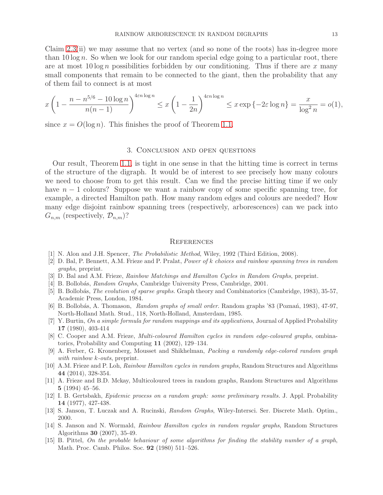Claim [2.3\(](#page-8-0)ii) we may assume that no vertex (and so none of the roots) has in-degree more than  $10 \log n$ . So when we look for our random special edge going to a particular root, there are at most  $10 \log n$  possibilities forbidden by our conditioning. Thus if there are x many small components that remain to be connected to the giant, then the probability that any of them fail to connect is at most

$$
x\left(1 - \frac{n - n^{5/6} - 10\log n}{n(n-1)}\right)^{4\varepsilon n \log n} \le x\left(1 - \frac{1}{2n}\right)^{4\varepsilon n \log n} \le x\exp\{-2\varepsilon \log n\} = \frac{x}{\log^2 n} = o(1),
$$

since  $x = O(\log n)$ . This finishes the proof of Theorem [1.1.](#page-2-2)

### 3. Conclusion and open questions

Our result, Theorem [1.1,](#page-2-2) is tight in one sense in that the hitting time is correct in terms of the structure of the digraph. It would be of interest to see precisely how many colours we need to choose from to get this result. Can we find the precise hitting time if we only have  $n - 1$  colours? Suppose we want a rainbow copy of some specific spanning tree, for example, a directed Hamilton path. How many random edges and colours are needed? How many edge disjoint rainbow spanning trees (respectively, arborescences) can we pack into  $G_{n,m}$  (respectively,  $\mathcal{D}_{n,m}$ )?

### **REFERENCES**

- <span id="page-12-9"></span><span id="page-12-6"></span>[1] N. Alon and J.H. Spencer, The Probabilistic Method, Wiley, 1992 (Third Edition, 2008).
- [2] D. Bal, P. Bennett, A.M. Frieze and P. Pralat, Power of k choices and rainbow spanning trees in random graphs, preprint.
- <span id="page-12-7"></span><span id="page-12-2"></span>[3] D. Bal and A.M. Frieze, Rainbow Matchings and Hamilton Cycles in Random Graphs, preprint.
- <span id="page-12-10"></span>[4] B. Bollobás, Random Graphs, Cambridge University Press, Cambridge, 2001.
- [5] B. Bollobás, *The evolution of sparse graphs*. Graph theory and Combinatorics (Cambridge, 1983), 35-57, Academic Press, London, 1984.
- <span id="page-12-11"></span>[6] B. Bollobás, A. Thomason, Random graphs of small order. Random graphs '83 (Poznań, 1983), 47-97, North-Holland Math. Stud., 118, North-Holland, Amsterdam, 1985.
- <span id="page-12-14"></span>[7] Y. Burtin, On a simple formula for random mappings and its applications, Journal of Applied Probability 17 (1980), 403-414
- <span id="page-12-0"></span>[8] C. Cooper and A.M. Frieze, *Multi-coloured Hamilton cycles in random edge-coloured graphs*, ombinatorics, Probability and Computing 11 (2002), 129–134.
- <span id="page-12-4"></span>[9] A. Ferber, G. Kronenberg, Mousset and Shikhelman, Packing a randomly edge-colored random graph with rainbow k-outs, preprint.
- <span id="page-12-1"></span>[10] A.M. Frieze and P. Loh, Rainbow Hamilton cycles in random graphs, Random Structures and Algorithms 44 (2014), 328-354.
- <span id="page-12-5"></span>[11] A. Frieze and B.D. Mckay, Multicoloured trees in random graphs, Random Structures and Algorithms 5 (1994) 45–56.
- <span id="page-12-13"></span>[12] I. B. Gertsbakh, Epidemic process on a random graph: some preliminary results. J. Appl. Probability 14 (1977), 427-438.
- <span id="page-12-8"></span><span id="page-12-3"></span>[13] S. Janson, T. Luczak and A. Rucinski, Random Graphs, Wiley-Intersci. Ser. Discrete Math. Optim., 2000.
- [14] S. Janson and N. Wormald, Rainbow Hamilton cycles in random regular graphs, Random Structures Algorithms 30 (2007), 35-49.
- <span id="page-12-12"></span>[15] B. Pittel, On the probable behaviour of some algorithms for finding the stability number of a graph, Math. Proc. Camb. Philos. Soc. 92 (1980) 511–526.